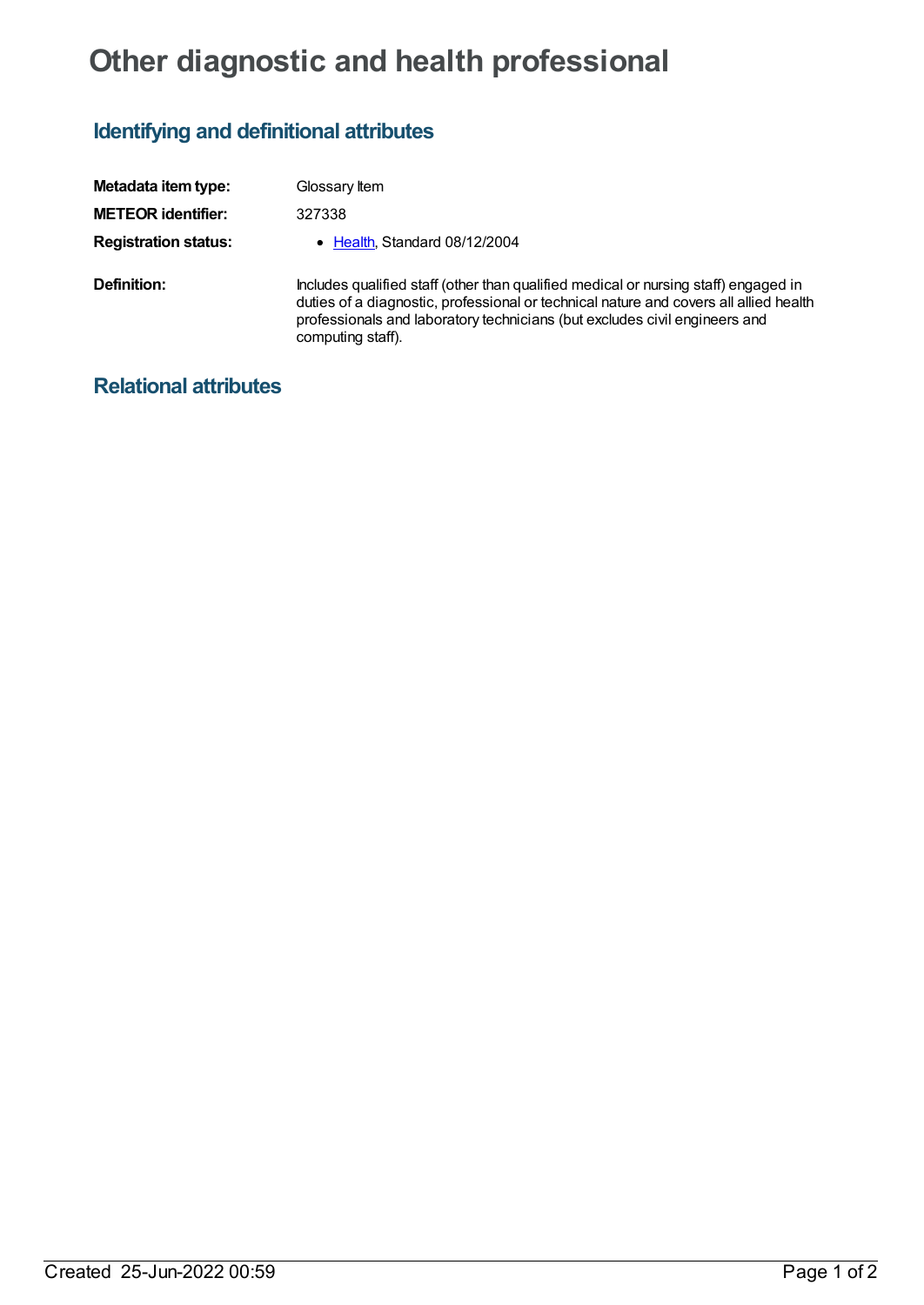## **Other diagnostic and health professional**

## **Identifying and definitional attributes**

| Metadata item type:         | Glossary Item                                                                                                                                                                                                                                                                   |
|-----------------------------|---------------------------------------------------------------------------------------------------------------------------------------------------------------------------------------------------------------------------------------------------------------------------------|
| <b>METEOR identifier:</b>   | 327338                                                                                                                                                                                                                                                                          |
| <b>Registration status:</b> | • Health, Standard 08/12/2004                                                                                                                                                                                                                                                   |
| Definition:                 | Includes qualified staff (other than qualified medical or nursing staff) engaged in<br>duties of a diagnostic, professional or technical nature and covers all allied health<br>professionals and laboratory technicians (but excludes civil engineers and<br>computing staff). |

## **Relational attributes**